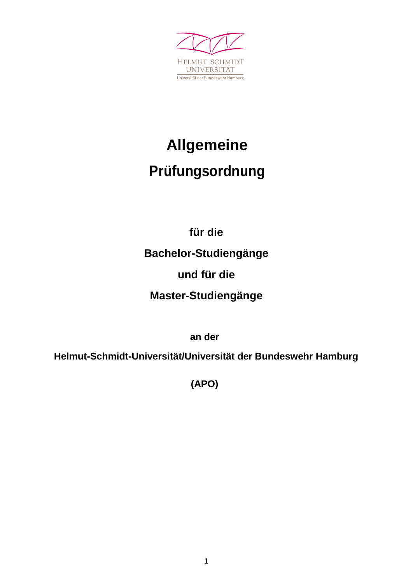

# **Allgemeine Prüfungsordnung**

**für die Bachelor-Studiengänge und für die Master-Studiengänge**

**an der**

**Helmut-Schmidt-Universität/Universität der Bundeswehr Hamburg**

**(APO)**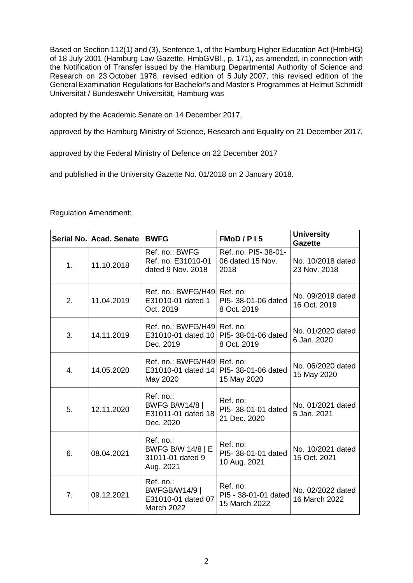Based on Section 112(1) and (3), Sentence 1, of the Hamburg Higher Education Act (HmbHG) of 18 July 2001 (Hamburg Law Gazette, HmbGVBl., p. 171), as amended, in connection with the Notification of Transfer issued by the Hamburg Departmental Authority of Science and Research on 23 October 1978, revised edition of 5 July 2007, this revised edition of the General Examination Regulations for Bachelor's and Master's Programmes at Helmut Schmidt Universität / Bundeswehr Universität, Hamburg was

adopted by the Academic Senate on 14 December 2017,

approved by the Hamburg Ministry of Science, Research and Equality on 21 December 2017,

approved by the Federal Ministry of Defence on 22 December 2017

and published in the University Gazette No. 01/2018 on 2 January 2018.

#### Regulation Amendment:

|                | Serial No. Acad. Senate | <b>BWFG</b>                                                                         | FMoD/P15                                                | <b>University</b><br><b>Gazette</b> |
|----------------|-------------------------|-------------------------------------------------------------------------------------|---------------------------------------------------------|-------------------------------------|
| 1 <sub>1</sub> | 11.10.2018              | Ref. no.: BWFG<br>Ref. no. E31010-01<br>dated 9 Nov. 2018                           | Ref. no: PI5-38-01-<br>06 dated 15 Nov.<br>2018         | No. 10/2018 dated<br>23 Nov. 2018   |
| 2.             | 11.04.2019              | Ref. no.: BWFG/H49 Ref. no:<br>E31010-01 dated 1<br>Oct. 2019                       | PI5-38-01-06 dated<br>8 Oct. 2019                       | No. 09/2019 dated<br>16 Oct. 2019   |
| 3.             | 14.11.2019              | Ref. no.: BWFG/H49 Ref. no:<br>Dec. 2019                                            | E31010-01 dated 10   PI5- 38-01-06 dated<br>8 Oct. 2019 | No. 01/2020 dated<br>6 Jan. 2020    |
| 4.             | 14.05.2020              | Ref. no.: BWFG/H49 Ref. no:<br>E31010-01 dated 14   PI5- 38-01-06 dated<br>May 2020 | 15 May 2020                                             | No. 06/2020 dated<br>15 May 2020    |
| 5.             | 12.11.2020              | Ref. no.:<br><b>BWFG B/W14/8  </b><br>E31011-01 dated 18<br>Dec. 2020               | Ref. no:<br>PI5-38-01-01 dated<br>21 Dec. 2020          | No. 01/2021 dated<br>5 Jan. 2021    |
| 6.             | 08.04.2021              | Ref. no.:<br><b>BWFG B/W 14/8   E</b><br>31011-01 dated 9<br>Aug. 2021              | Ref. no:<br>PI5-38-01-01 dated<br>10 Aug. 2021          | No. 10/2021 dated<br>15 Oct. 2021   |
| 7 <sub>1</sub> | 09.12.2021              | Ref. no.:<br>BWFGB/W14/9  <br>E31010-01 dated 07<br>March 2022                      | Ref. no:<br>PI5 - 38-01-01 dated<br>15 March 2022       | No. 02/2022 dated<br>16 March 2022  |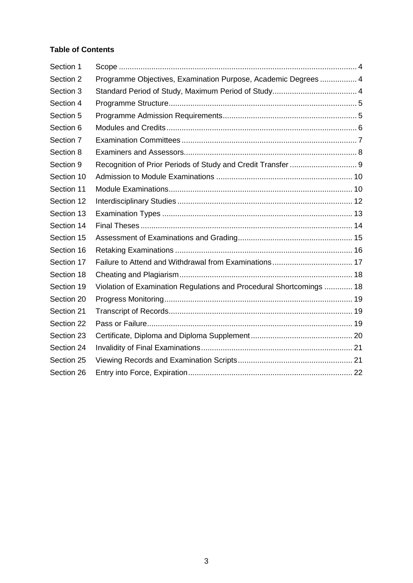## **Table of Contents**

| Section 1  |                                                                      |  |
|------------|----------------------------------------------------------------------|--|
| Section 2  | Programme Objectives, Examination Purpose, Academic Degrees  4       |  |
| Section 3  |                                                                      |  |
| Section 4  |                                                                      |  |
| Section 5  |                                                                      |  |
| Section 6  |                                                                      |  |
| Section 7  |                                                                      |  |
| Section 8  |                                                                      |  |
| Section 9  | Recognition of Prior Periods of Study and Credit Transfer  9         |  |
| Section 10 |                                                                      |  |
| Section 11 |                                                                      |  |
| Section 12 |                                                                      |  |
| Section 13 |                                                                      |  |
| Section 14 |                                                                      |  |
| Section 15 |                                                                      |  |
| Section 16 |                                                                      |  |
| Section 17 |                                                                      |  |
| Section 18 |                                                                      |  |
| Section 19 | Violation of Examination Regulations and Procedural Shortcomings  18 |  |
| Section 20 |                                                                      |  |
| Section 21 |                                                                      |  |
| Section 22 |                                                                      |  |
| Section 23 |                                                                      |  |
| Section 24 |                                                                      |  |
| Section 25 |                                                                      |  |
| Section 26 |                                                                      |  |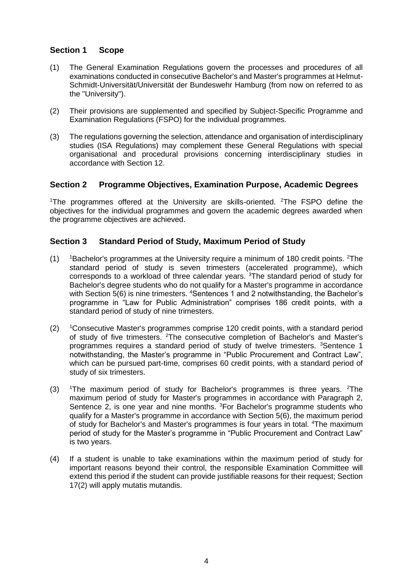# <span id="page-3-0"></span>**Section 1 Scope**

- (1) The General Examination Regulations govern the processes and procedures of all examinations conducted in consecutive Bachelor's and Master's programmes at Helmut-Schmidt-Universität/Universität der Bundeswehr Hamburg (from now on referred to as the "University").
- (2) Their provisions are supplemented and specified by Subject-Specific Programme and Examination Regulations (FSPO) for the individual programmes.
- (3) The regulations governing the selection, attendance and organisation of interdisciplinary studies (ISA Regulations) may complement these General Regulations with special organisational and procedural provisions concerning interdisciplinary studies in accordance with Section 12.

## <span id="page-3-1"></span>**Section 2 Programme Objectives, Examination Purpose, Academic Degrees**

<sup>1</sup>The programmes offered at the University are skills-oriented. <sup>2</sup>The FSPO define the objectives for the individual programmes and govern the academic degrees awarded when the programme objectives are achieved.

## <span id="page-3-2"></span>**Section 3 Standard Period of Study, Maximum Period of Study**

- (1)  $\frac{1}{18}$  1Bachelor's programmes at the University require a minimum of 180 credit points. <sup>2</sup>The standard period of study is seven trimesters (accelerated programme), which corresponds to a workload of three calendar years. <sup>3</sup>The standard period of study for Bachelor's degree students who do not qualify for a Master's programme in accordance with Section 5(6) is nine trimesters. <sup>4</sup>Sentences 1 and 2 notwithstanding, the Bachelor's programme in "Law for Public Administration" comprises 186 credit points, with a standard period of study of nine trimesters.
- $(2)$  <sup>1</sup>Consecutive Master's programmes comprise 120 credit points, with a standard period of study of five trimesters. <sup>2</sup>The consecutive completion of Bachelor's and Master's programmes requires a standard period of study of twelve trimesters. <sup>3</sup>Sentence 1 notwithstanding, the Master's programme in "Public Procurement and Contract Law", which can be pursued part-time, comprises 60 credit points, with a standard period of study of six trimesters.
- (3)  $\text{1}$ The maximum period of study for Bachelor's programmes is three years. <sup>2</sup>The maximum period of study for Master's programmes in accordance with Paragraph 2, Sentence 2, is one year and nine months. <sup>3</sup>For Bachelor's programme students who qualify for a Master's programme in accordance with Section 5(6), the maximum period of study for Bachelor's and Master's programmes is four years in total. <sup>4</sup>The maximum period of study for the Master's programme in "Public Procurement and Contract Law" is two years.
- (4) If a student is unable to take examinations within the maximum period of study for important reasons beyond their control, the responsible Examination Committee will extend this period if the student can provide justifiable reasons for their request; Section 17(2) will apply mutatis mutandis.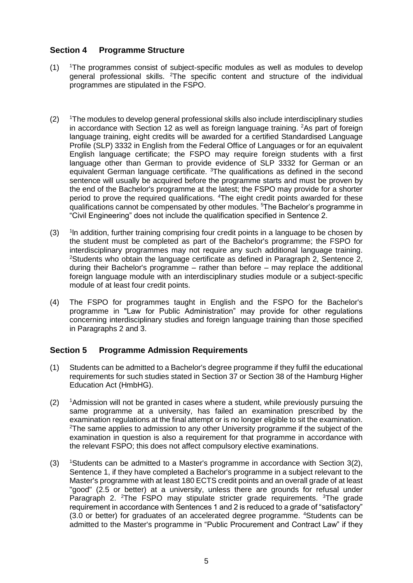# <span id="page-4-0"></span>**Section 4 Programme Structure**

- (1) <sup>1</sup>The programmes consist of subject-specific modules as well as modules to develop general professional skills. <sup>2</sup>The specific content and structure of the individual programmes are stipulated in the FSPO.
- $(2)$  <sup>1</sup>The modules to develop general professional skills also include interdisciplinary studies in accordance with Section 12 as well as foreign language training.  ${}^{2}$ As part of foreign language training, eight credits will be awarded for a certified Standardised Language Profile (SLP) 3332 in English from the Federal Office of Languages or for an equivalent English language certificate; the FSPO may require foreign students with a first language other than German to provide evidence of SLP 3332 for German or an equivalent German language certificate. <sup>3</sup>The qualifications as defined in the second sentence will usually be acquired before the programme starts and must be proven by the end of the Bachelor's programme at the latest; the FSPO may provide for a shorter period to prove the required qualifications. <sup>4</sup>The eight credit points awarded for these qualifications cannot be compensated by other modules. <sup>5</sup>The Bachelor's programme in "Civil Engineering" does not include the qualification specified in Sentence 2.
- $(3)$ <sup>1</sup> In addition, further training comprising four credit points in a language to be chosen by the student must be completed as part of the Bachelor's programme; the FSPO for interdisciplinary programmes may not require any such additional language training. <sup>2</sup>Students who obtain the language certificate as defined in Paragraph 2, Sentence 2, during their Bachelor's programme – rather than before – may replace the additional foreign language module with an interdisciplinary studies module or a subject-specific module of at least four credit points.
- (4) The FSPO for programmes taught in English and the FSPO for the Bachelor's programme in "Law for Public Administration" may provide for other regulations concerning interdisciplinary studies and foreign language training than those specified in Paragraphs 2 and 3.

## <span id="page-4-1"></span>**Section 5 Programme Admission Requirements**

- (1) Students can be admitted to a Bachelor's degree programme if they fulfil the educational requirements for such studies stated in Section 37 or Section 38 of the Hamburg Higher Education Act (HmbHG).
- $(2)$  <sup>1</sup>Admission will not be granted in cases where a student, while previously pursuing the same programme at a university, has failed an examination prescribed by the examination regulations at the final attempt or is no longer eligible to sit the examination. <sup>2</sup>The same applies to admission to any other University programme if the subject of the examination in question is also a requirement for that programme in accordance with the relevant FSPO; this does not affect compulsory elective examinations.
- (3) <sup>1</sup>Students can be admitted to a Master's programme in accordance with Section 3(2), Sentence 1, if they have completed a Bachelor's programme in a subject relevant to the Master's programme with at least 180 ECTS credit points and an overall grade of at least "good" (2.5 or better) at a university, unless there are grounds for refusal under Paragraph 2. <sup>2</sup>The FSPO may stipulate stricter grade requirements. <sup>3</sup>The grade requirement in accordance with Sentences 1 and 2 is reduced to a grade of "satisfactory" (3.0 or better) for graduates of an accelerated degree programme. <sup>4</sup>Students can be admitted to the Master's programme in "Public Procurement and Contract Law" if they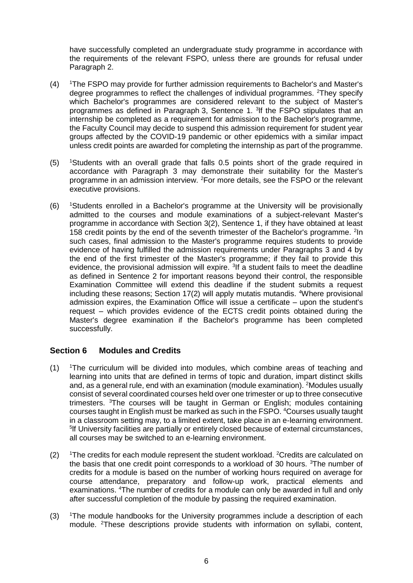have successfully completed an undergraduate study programme in accordance with the requirements of the relevant FSPO, unless there are grounds for refusal under Paragraph 2.

- (4) <sup>1</sup>The FSPO may provide for further admission requirements to Bachelor's and Master's degree programmes to reflect the challenges of individual programmes. <sup>2</sup>They specify which Bachelor's programmes are considered relevant to the subject of Master's programmes as defined in Paragraph 3, Sentence 1. <sup>3</sup>If the FSPO stipulates that an internship be completed as a requirement for admission to the Bachelor's programme, the Faculty Council may decide to suspend this admission requirement for student year groups affected by the COVID-19 pandemic or other epidemics with a similar impact unless credit points are awarded for completing the internship as part of the programme.
- (5) <sup>1</sup>Students with an overall grade that falls 0.5 points short of the grade required in accordance with Paragraph 3 may demonstrate their suitability for the Master's programme in an admission interview. <sup>2</sup>For more details, see the FSPO or the relevant executive provisions.
- $(6)$  <sup>1</sup>Students enrolled in a Bachelor's programme at the University will be provisionally admitted to the courses and module examinations of a subject-relevant Master's programme in accordance with Section 3(2), Sentence 1, if they have obtained at least 158 credit points by the end of the seventh trimester of the Bachelor's programme. <sup>2</sup>In such cases, final admission to the Master's programme requires students to provide evidence of having fulfilled the admission requirements under Paragraphs 3 and 4 by the end of the first trimester of the Master's programme; if they fail to provide this evidence, the provisional admission will expire. <sup>3</sup>If a student fails to meet the deadline as defined in Sentence 2 for important reasons beyond their control, the responsible Examination Committee will extend this deadline if the student submits a request including these reasons; Section 17(2) will apply mutatis mutandis. <sup>4</sup>Where provisional admission expires, the Examination Office will issue a certificate – upon the student's request – which provides evidence of the ECTS credit points obtained during the Master's degree examination if the Bachelor's programme has been completed successfully.

## <span id="page-5-0"></span>**Section 6 Modules and Credits**

- (1) <sup>1</sup>The curriculum will be divided into modules, which combine areas of teaching and learning into units that are defined in terms of topic and duration, impart distinct skills and, as a general rule, end with an examination (module examination). <sup>2</sup>Modules usually consist of several coordinated courses held over one trimester or up to three consecutive trimesters. <sup>3</sup>The courses will be taught in German or English; modules containing courses taught in English must be marked as such in the FSPO. <sup>4</sup>Courses usually taught in a classroom setting may, to a limited extent, take place in an e-learning environment. <sup>5</sup>If University facilities are partially or entirely closed because of external circumstances, all courses may be switched to an e-learning environment.
- $(2)$  1The credits for each module represent the student workload. <sup>2</sup>Credits are calculated on the basis that one credit point corresponds to a workload of 30 hours. <sup>3</sup>The number of credits for a module is based on the number of working hours required on average for course attendance, preparatory and follow-up work, practical elements and examinations. <sup>4</sup>The number of credits for a module can only be awarded in full and only after successful completion of the module by passing the required examination.
- (3) <sup>1</sup>The module handbooks for the University programmes include a description of each module. 2These descriptions provide students with information on syllabi, content,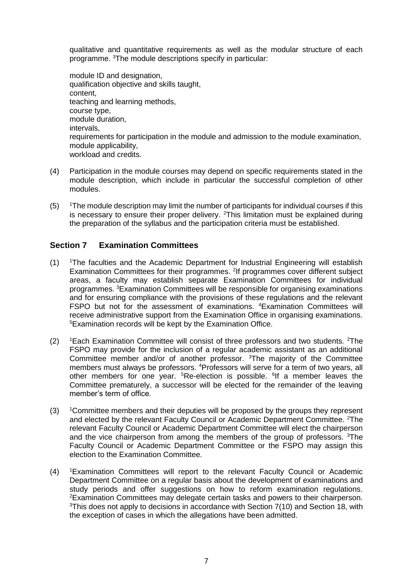qualitative and quantitative requirements as well as the modular structure of each programme. <sup>3</sup>The module descriptions specify in particular:

module ID and designation, qualification objective and skills taught, content, teaching and learning methods, course type, module duration, intervals, requirements for participation in the module and admission to the module examination, module applicability, workload and credits.

- (4) Participation in the module courses may depend on specific requirements stated in the module description, which include in particular the successful completion of other modules.
- $(5)$  <sup>1</sup>The module description may limit the number of participants for individual courses if this is necessary to ensure their proper delivery.  $2$ This limitation must be explained during the preparation of the syllabus and the participation criteria must be established.

## <span id="page-6-0"></span>**Section 7 Examination Committees**

- $(1)$  <sup>1</sup>The faculties and the Academic Department for Industrial Engineering will establish Examination Committees for their programmes. <sup>2</sup>If programmes cover different subject areas, a faculty may establish separate Examination Committees for individual programmes. <sup>3</sup>Examination Committees will be responsible for organising examinations and for ensuring compliance with the provisions of these regulations and the relevant FSPO but not for the assessment of examinations. <sup>4</sup>Examination Committees will receive administrative support from the Examination Office in organising examinations. <sup>5</sup>Examination records will be kept by the Examination Office.
- (2)  $\,$  1Each Examination Committee will consist of three professors and two students. <sup>2</sup>The FSPO may provide for the inclusion of a regular academic assistant as an additional Committee member and/or of another professor. <sup>3</sup>The majority of the Committee members must always be professors. <sup>4</sup>Professors will serve for a term of two years, all other members for one year. <sup>5</sup>Re-election is possible. <sup>6</sup>If a member leaves the Committee prematurely, a successor will be elected for the remainder of the leaving member's term of office.
- (3) <sup>1</sup>Committee members and their deputies will be proposed by the groups they represent and elected by the relevant Faculty Council or Academic Department Committee. <sup>2</sup>The relevant Faculty Council or Academic Department Committee will elect the chairperson and the vice chairperson from among the members of the group of professors. <sup>3</sup>The Faculty Council or Academic Department Committee or the FSPO may assign this election to the Examination Committee.
- (4) <sup>1</sup>Examination Committees will report to the relevant Faculty Council or Academic Department Committee on a regular basis about the development of examinations and study periods and offer suggestions on how to reform examination regulations. <sup>2</sup>Examination Committees may delegate certain tasks and powers to their chairperson.  $3$ This does not apply to decisions in accordance with Section  $7(10)$  and Section 18, with the exception of cases in which the allegations have been admitted.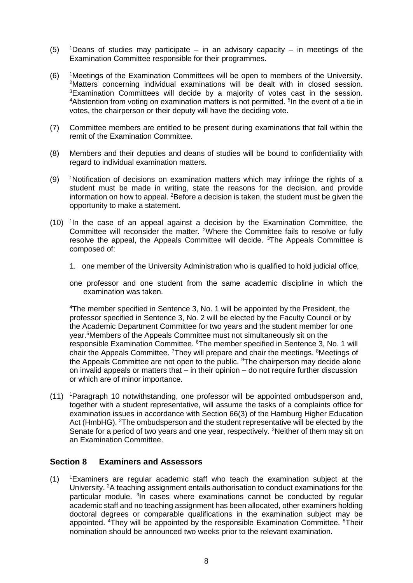- (5) <sup>1</sup>Deans of studies may participate in an advisory capacity in meetings of the Examination Committee responsible for their programmes.
- (6) <sup>1</sup>Meetings of the Examination Committees will be open to members of the University. <sup>2</sup>Matters concerning individual examinations will be dealt with in closed session. <sup>3</sup>Examination Committees will decide by a majority of votes cast in the session. <sup>4</sup>Abstention from voting on examination matters is not permitted. <sup>5</sup>In the event of a tie in votes, the chairperson or their deputy will have the deciding vote.
- (7) Committee members are entitled to be present during examinations that fall within the remit of the Examination Committee.
- (8) Members and their deputies and deans of studies will be bound to confidentiality with regard to individual examination matters.
- (9) <sup>1</sup>Notification of decisions on examination matters which may infringe the rights of a student must be made in writing, state the reasons for the decision, and provide information on how to appeal. <sup>2</sup>Before a decision is taken, the student must be given the opportunity to make a statement.
- $(10)$  <sup>1</sup> In the case of an appeal against a decision by the Examination Committee, the Committee will reconsider the matter. <sup>2</sup>Where the Committee fails to resolve or fully resolve the appeal, the Appeals Committee will decide. <sup>3</sup>The Appeals Committee is composed of:
	- 1. one member of the University Administration who is qualified to hold judicial office,
	- one professor and one student from the same academic discipline in which the examination was taken.

<sup>4</sup>The member specified in Sentence 3, No. 1 will be appointed by the President, the professor specified in Sentence 3, No. 2 will be elected by the Faculty Council or by the Academic Department Committee for two years and the student member for one year.<sup>5</sup>Members of the Appeals Committee must not simultaneously sit on the responsible Examination Committee. <sup>6</sup>The member specified in Sentence 3, No. 1 will chair the Appeals Committee. <sup>7</sup>They will prepare and chair the meetings. <sup>8</sup>Meetings of the Appeals Committee are not open to the public. <sup>9</sup>The chairperson may decide alone on invalid appeals or matters that – in their opinion – do not require further discussion or which are of minor importance.

(11) <sup>1</sup>Paragraph 10 notwithstanding, one professor will be appointed ombudsperson and, together with a student representative, will assume the tasks of a complaints office for examination issues in accordance with Section 66(3) of the Hamburg Higher Education Act (HmbHG). <sup>2</sup>The ombudsperson and the student representative will be elected by the Senate for a period of two years and one year, respectively. <sup>3</sup>Neither of them may sit on an Examination Committee.

#### <span id="page-7-0"></span>**Section 8 Examiners and Assessors**

(1) <sup>1</sup>Examiners are regular academic staff who teach the examination subject at the University. <sup>2</sup>A teaching assignment entails authorisation to conduct examinations for the particular module. <sup>3</sup>In cases where examinations cannot be conducted by regular academic staff and no teaching assignment has been allocated, other examiners holding doctoral degrees or comparable qualifications in the examination subject may be appointed. <sup>4</sup>They will be appointed by the responsible Examination Committee. <sup>5</sup>Their nomination should be announced two weeks prior to the relevant examination.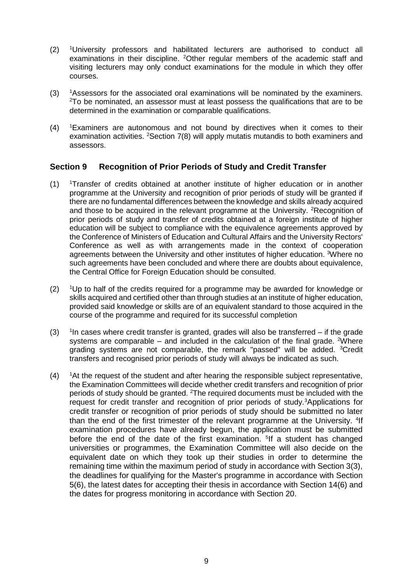- (2) <sup>1</sup>University professors and habilitated lecturers are authorised to conduct all examinations in their discipline. <sup>2</sup>Other regular members of the academic staff and visiting lecturers may only conduct examinations for the module in which they offer courses.
- (3) <sup>1</sup>Assessors for the associated oral examinations will be nominated by the examiners. <sup>2</sup>To be nominated, an assessor must at least possess the qualifications that are to be determined in the examination or comparable qualifications.
- $(4)$  <sup>1</sup>Examiners are autonomous and not bound by directives when it comes to their examination activities. <sup>2</sup>Section 7(8) will apply mutatis mutandis to both examiners and assessors.

# <span id="page-8-0"></span>**Section 9 Recognition of Prior Periods of Study and Credit Transfer**

- $(1)$  <sup>1</sup>Transfer of credits obtained at another institute of higher education or in another programme at the University and recognition of prior periods of study will be granted if there are no fundamental differences between the knowledge and skills already acquired and those to be acquired in the relevant programme at the University. <sup>2</sup>Recognition of prior periods of study and transfer of credits obtained at a foreign institute of higher education will be subject to compliance with the equivalence agreements approved by the Conference of Ministers of Education and Cultural Affairs and the University Rectors' Conference as well as with arrangements made in the context of cooperation agreements between the University and other institutes of higher education. <sup>3</sup>Where no such agreements have been concluded and where there are doubts about equivalence, the Central Office for Foreign Education should be consulted.
- $(2)$  <sup>1</sup>Up to half of the credits required for a programme may be awarded for knowledge or skills acquired and certified other than through studies at an institute of higher education, provided said knowledge or skills are of an equivalent standard to those acquired in the course of the programme and required for its successful completion
- $(3)$  $1$ In cases where credit transfer is granted, grades will also be transferred  $-$  if the grade systems are comparable – and included in the calculation of the final grade. <sup>2</sup>Where grading systems are not comparable, the remark "passed" will be added. <sup>3</sup>Credit transfers and recognised prior periods of study will always be indicated as such.
- $(4)$  <sup>1</sup>At the request of the student and after hearing the responsible subject representative, the Examination Committees will decide whether credit transfers and recognition of prior periods of study should be granted. <sup>2</sup>The required documents must be included with the request for credit transfer and recognition of prior periods of study.<sup>3</sup>Applications for credit transfer or recognition of prior periods of study should be submitted no later than the end of the first trimester of the relevant programme at the University. <sup>4</sup>If examination procedures have already begun, the application must be submitted before the end of the date of the first examination. <sup>5</sup>If a student has changed universities or programmes, the Examination Committee will also decide on the equivalent date on which they took up their studies in order to determine the remaining time within the maximum period of study in accordance with Section 3(3), the deadlines for qualifying for the Master's programme in accordance with Section 5(6), the latest dates for accepting their thesis in accordance with Section 14(6) and the dates for progress monitoring in accordance with Section 20.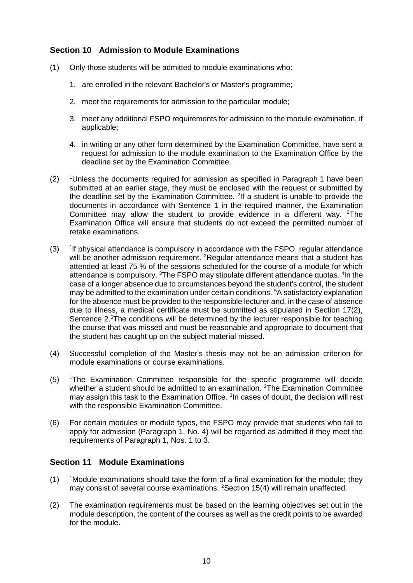## <span id="page-9-0"></span>**Section 10 Admission to Module Examinations**

- (1) Only those students will be admitted to module examinations who:
	- 1. are enrolled in the relevant Bachelor's or Master's programme;
	- 2. meet the requirements for admission to the particular module;
	- 3. meet any additional FSPO requirements for admission to the module examination, if applicable;
	- 4. in writing or any other form determined by the Examination Committee, have sent a request for admission to the module examination to the Examination Office by the deadline set by the Examination Committee.
- $(2)$  <sup>1</sup>Unless the documents required for admission as specified in Paragraph 1 have been submitted at an earlier stage, they must be enclosed with the request or submitted by the deadline set by the Examination Committee.  $2$ If a student is unable to provide the documents in accordance with Sentence 1 in the required manner, the Examination Committee may allow the student to provide evidence in a different way. <sup>3</sup>The Examination Office will ensure that students do not exceed the permitted number of retake examinations.
- $(3)$ lf physical attendance is compulsory in accordance with the FSPO, regular attendance will be another admission requirement. <sup>2</sup>Regular attendance means that a student has attended at least 75 % of the sessions scheduled for the course of a module for which attendance is compulsory. <sup>3</sup>The FSPO may stipulate different attendance quotas. <sup>4</sup>In the case of a longer absence due to circumstances beyond the student's control, the student may be admitted to the examination under certain conditions. <sup>5</sup>A satisfactory explanation for the absence must be provided to the responsible lecturer and, in the case of absence due to illness, a medical certificate must be submitted as stipulated in Section 17(2), Sentence 2.<sup>6</sup>The conditions will be determined by the lecturer responsible for teaching the course that was missed and must be reasonable and appropriate to document that the student has caught up on the subject material missed.
- (4) Successful completion of the Master's thesis may not be an admission criterion for module examinations or course examinations.
- (5) <sup>1</sup>The Examination Committee responsible for the specific programme will decide whether a student should be admitted to an examination. <sup>2</sup>The Examination Committee may assign this task to the Examination Office. <sup>3</sup>In cases of doubt, the decision will rest with the responsible Examination Committee.
- (6) For certain modules or module types, the FSPO may provide that students who fail to apply for admission (Paragraph 1, No. 4) will be regarded as admitted if they meet the requirements of Paragraph 1, Nos. 1 to 3.

#### <span id="page-9-1"></span>**Section 11 Module Examinations**

- $(1)$  <sup>1</sup>Module examinations should take the form of a final examination for the module; they may consist of several course examinations. <sup>2</sup>Section 15(4) will remain unaffected.
- (2) The examination requirements must be based on the learning objectives set out in the module description, the content of the courses as well as the credit points to be awarded for the module.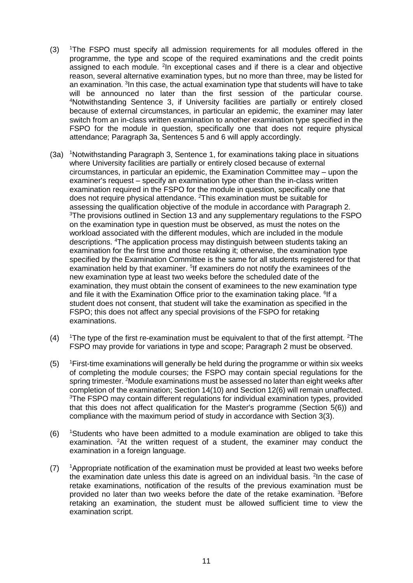- (3) <sup>1</sup>The FSPO must specify all admission requirements for all modules offered in the programme, the type and scope of the required examinations and the credit points assigned to each module. <sup>2</sup>In exceptional cases and if there is a clear and objective reason, several alternative examination types, but no more than three, may be listed for an examination. <sup>3</sup>In this case, the actual examination type that students will have to take will be announced no later than the first session of the particular course. <sup>4</sup>Notwithstanding Sentence 3, if University facilities are partially or entirely closed because of external circumstances, in particular an epidemic, the examiner may later switch from an in-class written examination to another examination type specified in the FSPO for the module in question, specifically one that does not require physical attendance; Paragraph 3a, Sentences 5 and 6 will apply accordingly.
- (3a) <sup>1</sup>Notwithstanding Paragraph 3, Sentence 1, for examinations taking place in situations where University facilities are partially or entirely closed because of external circumstances, in particular an epidemic, the Examination Committee may – upon the examiner's request – specify an examination type other than the in-class written examination required in the FSPO for the module in question, specifically one that does not require physical attendance. <sup>2</sup>This examination must be suitable for assessing the qualification objective of the module in accordance with Paragraph 2. <sup>3</sup>The provisions outlined in Section 13 and any supplementary regulations to the FSPO on the examination type in question must be observed, as must the notes on the workload associated with the different modules, which are included in the module descriptions. <sup>4</sup>The application process may distinguish between students taking an examination for the first time and those retaking it; otherwise, the examination type specified by the Examination Committee is the same for all students registered for that examination held by that examiner. <sup>5</sup>If examiners do not notify the examinees of the new examination type at least two weeks before the scheduled date of the examination, they must obtain the consent of examinees to the new examination type and file it with the Examination Office prior to the examination taking place. <sup>6</sup>If a student does not consent, that student will take the examination as specified in the FSPO; this does not affect any special provisions of the FSPO for retaking examinations.
- $(4)$  1The type of the first re-examination must be equivalent to that of the first attempt. <sup>2</sup>The FSPO may provide for variations in type and scope; Paragraph 2 must be observed.
- (5) <sup>1</sup>First-time examinations will generally be held during the programme or within six weeks of completing the module courses; the FSPO may contain special regulations for the spring trimester. <sup>2</sup>Module examinations must be assessed no later than eight weeks after completion of the examination; Section 14(10) and Section 12(6) will remain unaffected. <sup>3</sup>The FSPO may contain different regulations for individual examination types, provided that this does not affect qualification for the Master's programme (Section 5(6)) and compliance with the maximum period of study in accordance with Section 3(3).
- $(6)$  <sup>1</sup>Students who have been admitted to a module examination are obliged to take this examination. <sup>2</sup>At the written request of a student, the examiner may conduct the examination in a foreign language.
- $(7)$  <sup>1</sup>Appropriate notification of the examination must be provided at least two weeks before the examination date unless this date is agreed on an individual basis. <sup>2</sup>In the case of retake examinations, notification of the results of the previous examination must be provided no later than two weeks before the date of the retake examination. <sup>3</sup>Before retaking an examination, the student must be allowed sufficient time to view the examination script.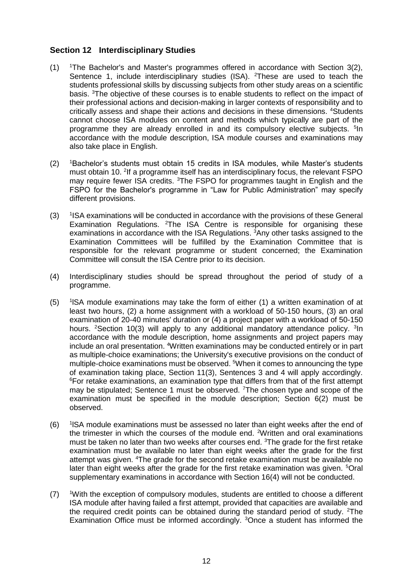## <span id="page-11-0"></span>**Section 12 Interdisciplinary Studies**

- $(1)$  <sup>1</sup>The Bachelor's and Master's programmes offered in accordance with Section 3(2), Sentence 1, include interdisciplinary studies (ISA). <sup>2</sup>These are used to teach the students professional skills by discussing subjects from other study areas on a scientific basis. <sup>3</sup>The objective of these courses is to enable students to reflect on the impact of their professional actions and decision-making in larger contexts of responsibility and to critically assess and shape their actions and decisions in these dimensions. <sup>4</sup>Students cannot choose ISA modules on content and methods which typically are part of the programme they are already enrolled in and its compulsory elective subjects. <sup>5</sup>In accordance with the module description, ISA module courses and examinations may also take place in English.
- (2) <sup>1</sup>Bachelor's students must obtain 15 credits in ISA modules, while Master's students must obtain 10. <sup>2</sup> If a programme itself has an interdisciplinary focus, the relevant FSPO may require fewer ISA credits. <sup>3</sup>The FSPO for programmes taught in English and the FSPO for the Bachelor's programme in "Law for Public Administration" may specify different provisions.
- $(3)$ <sup>1</sup> ISA examinations will be conducted in accordance with the provisions of these General Examination Regulations. <sup>2</sup>The ISA Centre is responsible for organising these examinations in accordance with the ISA Regulations. <sup>3</sup>Any other tasks assigned to the Examination Committees will be fulfilled by the Examination Committee that is responsible for the relevant programme or student concerned; the Examination Committee will consult the ISA Centre prior to its decision.
- (4) Interdisciplinary studies should be spread throughout the period of study of a programme.
- $(5)$  $1$ ISA module examinations may take the form of either (1) a written examination of at least two hours, (2) a home assignment with a workload of 50-150 hours, (3) an oral examination of 20-40 minutes' duration or (4) a project paper with a workload of 50-150 hours. <sup>2</sup> Section 10(3) will apply to any additional mandatory attendance policy. <sup>3</sup> In accordance with the module description, home assignments and project papers may include an oral presentation. <sup>4</sup>Written examinations may be conducted entirely or in part as multiple-choice examinations; the University's executive provisions on the conduct of multiple-choice examinations must be observed. <sup>5</sup>When it comes to announcing the type of examination taking place, Section 11(3), Sentences 3 and 4 will apply accordingly. <sup>6</sup>For retake examinations, an examination type that differs from that of the first attempt may be stipulated; Sentence 1 must be observed. <sup>7</sup>The chosen type and scope of the examination must be specified in the module description; Section 6(2) must be observed.
- $(6)$ <sup>1</sup>ISA module examinations must be assessed no later than eight weeks after the end of the trimester in which the courses of the module end. <sup>2</sup>Written and oral examinations must be taken no later than two weeks after courses end. <sup>3</sup>The grade for the first retake examination must be available no later than eight weeks after the grade for the first attempt was given. <sup>4</sup>The grade for the second retake examination must be available no later than eight weeks after the grade for the first retake examination was given. <sup>5</sup>Oral supplementary examinations in accordance with Section 16(4) will not be conducted.
- (7) <sup>1</sup>With the exception of compulsory modules, students are entitled to choose a different ISA module after having failed a first attempt, provided that capacities are available and the required credit points can be obtained during the standard period of study.  $2\text{The}$ Examination Office must be informed accordingly. 3Once a student has informed the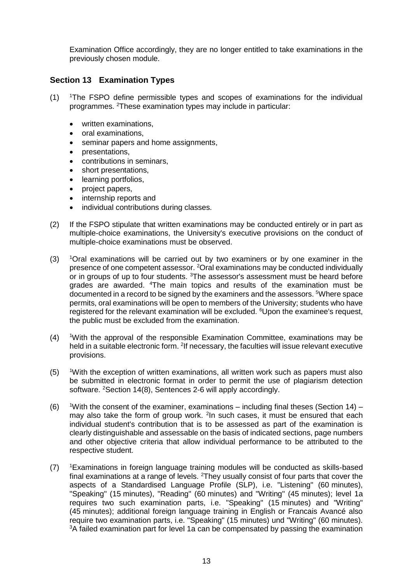Examination Office accordingly, they are no longer entitled to take examinations in the previously chosen module.

#### <span id="page-12-0"></span>**Section 13 Examination Types**

- $(1)$  <sup>1</sup>The FSPO define permissible types and scopes of examinations for the individual programmes. <sup>2</sup>These examination types may include in particular:
	- written examinations,
	- oral examinations,
	- seminar papers and home assignments,
	- presentations,
	- contributions in seminars,
	- short presentations,
	- learning portfolios,
	- project papers,
	- internship reports and
	- individual contributions during classes.
- (2) If the FSPO stipulate that written examinations may be conducted entirely or in part as multiple-choice examinations, the University's executive provisions on the conduct of multiple-choice examinations must be observed.
- (3) <sup>1</sup>Oral examinations will be carried out by two examiners or by one examiner in the presence of one competent assessor. <sup>2</sup>Oral examinations may be conducted individually or in groups of up to four students. <sup>3</sup>The assessor's assessment must be heard before grades are awarded. <sup>4</sup>The main topics and results of the examination must be documented in a record to be signed by the examiners and the assessors. <sup>5</sup>Where space permits, oral examinations will be open to members of the University; students who have registered for the relevant examination will be excluded. <sup>6</sup>Upon the examinee's request, the public must be excluded from the examination.
- (4) <sup>1</sup>With the approval of the responsible Examination Committee, examinations may be held in a suitable electronic form. <sup>2</sup>If necessary, the faculties will issue relevant executive provisions.
- (5) <sup>1</sup>With the exception of written examinations, all written work such as papers must also be submitted in electronic format in order to permit the use of plagiarism detection software. <sup>2</sup>Section 14(8), Sentences 2-6 will apply accordingly.
- (6) 1With the consent of the examiner, examinations including final theses (Section 14) may also take the form of group work. <sup>2</sup>In such cases, it must be ensured that each individual student's contribution that is to be assessed as part of the examination is clearly distinguishable and assessable on the basis of indicated sections, page numbers and other objective criteria that allow individual performance to be attributed to the respective student.
- (7) <sup>1</sup>Examinations in foreign language training modules will be conducted as skills-based final examinations at a range of levels.  ${}^{2}$ They usually consist of four parts that cover the aspects of a Standardised Language Profile (SLP), i.e. "Listening" (60 minutes), "Speaking" (15 minutes), "Reading" (60 minutes) and "Writing" (45 minutes); level 1a requires two such examination parts, i.e. "Speaking" (15 minutes) and "Writing" (45 minutes); additional foreign language training in English or Francais Avancé also require two examination parts, i.e. "Speaking" (15 minutes) und "Writing" (60 minutes). <sup>3</sup>A failed examination part for level 1a can be compensated by passing the examination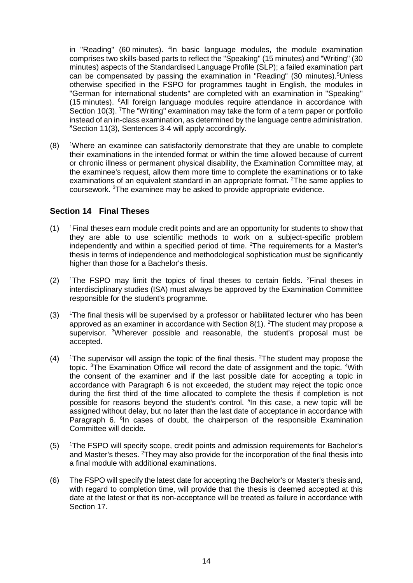in "Reading" (60 minutes). <sup>4</sup>In basic language modules, the module examination comprises two skills-based parts to reflect the "Speaking" (15 minutes) and "Writing" (30 minutes) aspects of the Standardised Language Profile (SLP); a failed examination part can be compensated by passing the examination in "Reading" (30 minutes).<sup>5</sup>Unless otherwise specified in the FSPO for programmes taught in English, the modules in "German for international students" are completed with an examination in "Speaking" (15 minutes). <sup>6</sup>All foreign language modules require attendance in accordance with Section 10(3). <sup>7</sup>The "Writing" examination may take the form of a term paper or portfolio instead of an in-class examination, as determined by the language centre administration. <sup>8</sup>Section 11(3), Sentences 3-4 will apply accordingly.

(8) <sup>1</sup>Where an examinee can satisfactorily demonstrate that they are unable to complete their examinations in the intended format or within the time allowed because of current or chronic illness or permanent physical disability, the Examination Committee may, at the examinee's request, allow them more time to complete the examinations or to take examinations of an equivalent standard in an appropriate format. <sup>2</sup>The same applies to coursework. <sup>3</sup>The examinee may be asked to provide appropriate evidence.

## <span id="page-13-0"></span>**Section 14 Final Theses**

- $(1)$  <sup>1</sup>Final theses earn module credit points and are an opportunity for students to show that they are able to use scientific methods to work on a subject-specific problem independently and within a specified period of time. <sup>2</sup>The requirements for a Master's thesis in terms of independence and methodological sophistication must be significantly higher than those for a Bachelor's thesis.
- (2)  $\text{I}$  The FSPO may limit the topics of final theses to certain fields. <sup>2</sup>Final theses in interdisciplinary studies (ISA) must always be approved by the Examination Committee responsible for the student's programme.
- $(3)$  <sup>1</sup>The final thesis will be supervised by a professor or habilitated lecturer who has been approved as an examiner in accordance with Section 8(1). <sup>2</sup>The student may propose a supervisor. <sup>3</sup>Wherever possible and reasonable, the student's proposal must be accepted.
- (4) 1The supervisor will assign the topic of the final thesis. <sup>2</sup>The student may propose the topic. <sup>3</sup>The Examination Office will record the date of assignment and the topic. <sup>4</sup>With the consent of the examiner and if the last possible date for accepting a topic in accordance with Paragraph 6 is not exceeded, the student may reject the topic once during the first third of the time allocated to complete the thesis if completion is not possible for reasons beyond the student's control. <sup>5</sup>In this case, a new topic will be assigned without delay, but no later than the last date of acceptance in accordance with Paragraph 6. <sup>6</sup>In cases of doubt, the chairperson of the responsible Examination Committee will decide.
- (5) <sup>1</sup>The FSPO will specify scope, credit points and admission requirements for Bachelor's and Master's theses. <sup>2</sup>They may also provide for the incorporation of the final thesis into a final module with additional examinations.
- (6) The FSPO will specify the latest date for accepting the Bachelor's or Master's thesis and, with regard to completion time, will provide that the thesis is deemed accepted at this date at the latest or that its non-acceptance will be treated as failure in accordance with Section 17.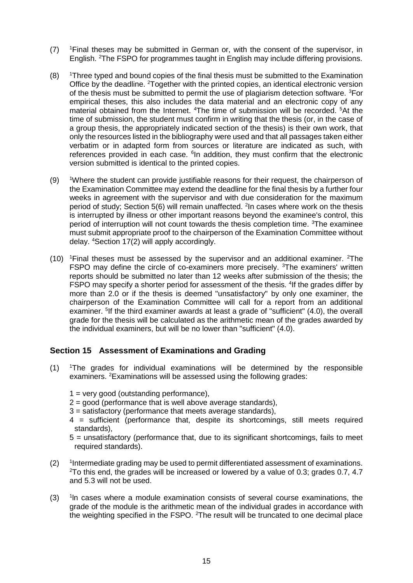- (7) <sup>1</sup>Final theses may be submitted in German or, with the consent of the supervisor, in English. <sup>2</sup>The FSPO for programmes taught in English may include differing provisions.
- $(8)$  <sup>1</sup>Three typed and bound copies of the final thesis must be submitted to the Examination Office by the deadline. <sup>2</sup>Together with the printed copies, an identical electronic version of the thesis must be submitted to permit the use of plagiarism detection software. <sup>3</sup>For empirical theses, this also includes the data material and an electronic copy of any material obtained from the Internet. <sup>4</sup>The time of submission will be recorded. <sup>5</sup>At the time of submission, the student must confirm in writing that the thesis (or, in the case of a group thesis, the appropriately indicated section of the thesis) is their own work, that only the resources listed in the bibliography were used and that all passages taken either verbatim or in adapted form from sources or literature are indicated as such, with references provided in each case. <sup>6</sup>In addition, they must confirm that the electronic version submitted is identical to the printed copies.
- (9) <sup>1</sup>Where the student can provide justifiable reasons for their request, the chairperson of the Examination Committee may extend the deadline for the final thesis by a further four weeks in agreement with the supervisor and with due consideration for the maximum period of study; Section 5(6) will remain unaffected. <sup>2</sup>In cases where work on the thesis is interrupted by illness or other important reasons beyond the examinee's control, this period of interruption will not count towards the thesis completion time. <sup>3</sup>The examinee must submit appropriate proof to the chairperson of the Examination Committee without delay. <sup>4</sup>Section 17(2) will apply accordingly.
- $(10)$  <sup>1</sup>Final theses must be assessed by the supervisor and an additional examiner. <sup>2</sup>The FSPO may define the circle of co-examiners more precisely. <sup>3</sup>The examiners' written reports should be submitted no later than 12 weeks after submission of the thesis; the FSPO may specify a shorter period for assessment of the thesis. <sup>4</sup>If the grades differ by more than 2.0 or if the thesis is deemed "unsatisfactory" by only one examiner, the chairperson of the Examination Committee will call for a report from an additional examiner. <sup>5</sup>If the third examiner awards at least a grade of "sufficient" (4.0), the overall grade for the thesis will be calculated as the arithmetic mean of the grades awarded by the individual examiners, but will be no lower than "sufficient" (4.0).

## <span id="page-14-0"></span>**Section 15 Assessment of Examinations and Grading**

- (1) <sup>1</sup>The grades for individual examinations will be determined by the responsible examiners. <sup>2</sup>Examinations will be assessed using the following grades:
	- 1 = very good (outstanding performance),
	- $2 =$  good (performance that is well above average standards),
	- 3 = satisfactory (performance that meets average standards),
	- 4 = sufficient (performance that, despite its shortcomings, still meets required standards),
	- 5 = unsatisfactory (performance that, due to its significant shortcomings, fails to meet required standards).
- $(2)$ Intermediate grading may be used to permit differentiated assessment of examinations.  $2$ To this end, the grades will be increased or lowered by a value of 0.3; grades 0.7, 4.7 and 5.3 will not be used.
- $(3)$ <sup>1</sup>In cases where a module examination consists of several course examinations, the grade of the module is the arithmetic mean of the individual grades in accordance with the weighting specified in the FSPO. <sup>2</sup>The result will be truncated to one decimal place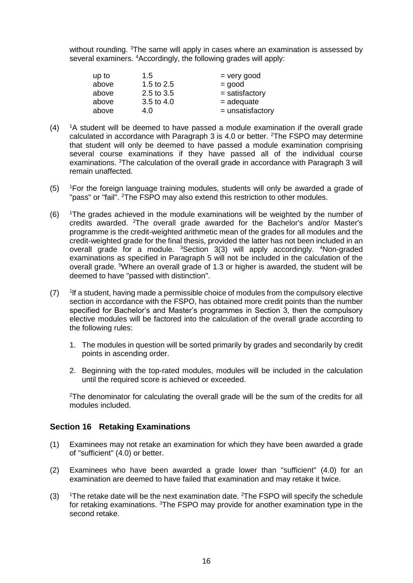without rounding. <sup>3</sup>The same will apply in cases where an examination is assessed by several examiners. <sup>4</sup>Accordingly, the following grades will apply:

| up to | 1.5        | $=$ very good      |
|-------|------------|--------------------|
| above | 1.5 to 2.5 | $=$ good           |
| above | 2.5 to 3.5 | $=$ satisfactory   |
| above | 3.5 to 4.0 | $=$ adequate       |
| above | 4.0        | $=$ unsatisfactory |

- $(4)$  <sup>1</sup>A student will be deemed to have passed a module examination if the overall grade calculated in accordance with Paragraph 3 is 4.0 or better.  $2$ The FSPO may determine that student will only be deemed to have passed a module examination comprising several course examinations if they have passed all of the individual course examinations. <sup>3</sup>The calculation of the overall grade in accordance with Paragraph 3 will remain unaffected.
- (5) <sup>1</sup>For the foreign language training modules, students will only be awarded a grade of "pass" or "fail". <sup>2</sup>The FSPO may also extend this restriction to other modules.
- (6) <sup>1</sup>The grades achieved in the module examinations will be weighted by the number of credits awarded. <sup>2</sup>The overall grade awarded for the Bachelor's and/or Master's programme is the credit-weighted arithmetic mean of the grades for all modules and the credit-weighted grade for the final thesis, provided the latter has not been included in an overall grade for a module. <sup>3</sup>Section 3(3) will apply accordingly. <sup>4</sup>Non-graded examinations as specified in Paragraph 5 will not be included in the calculation of the overall grade. <sup>5</sup>Where an overall grade of 1.3 or higher is awarded, the student will be deemed to have "passed with distinction".
- $(7)$ lf a student, having made a permissible choice of modules from the compulsory elective section in accordance with the FSPO, has obtained more credit points than the number specified for Bachelor's and Master's programmes in Section 3, then the compulsory elective modules will be factored into the calculation of the overall grade according to the following rules:
	- 1. The modules in question will be sorted primarily by grades and secondarily by credit points in ascending order.
	- 2. Beginning with the top-rated modules, modules will be included in the calculation until the required score is achieved or exceeded.

<sup>2</sup>The denominator for calculating the overall grade will be the sum of the credits for all modules included.

#### <span id="page-15-0"></span>**Section 16 Retaking Examinations**

- (1) Examinees may not retake an examination for which they have been awarded a grade of "sufficient" (4.0) or better.
- (2) Examinees who have been awarded a grade lower than "sufficient" (4.0) for an examination are deemed to have failed that examination and may retake it twice.
- (3)  $1$ The retake date will be the next examination date. <sup>2</sup>The FSPO will specify the schedule for retaking examinations. <sup>3</sup>The FSPO may provide for another examination type in the second retake.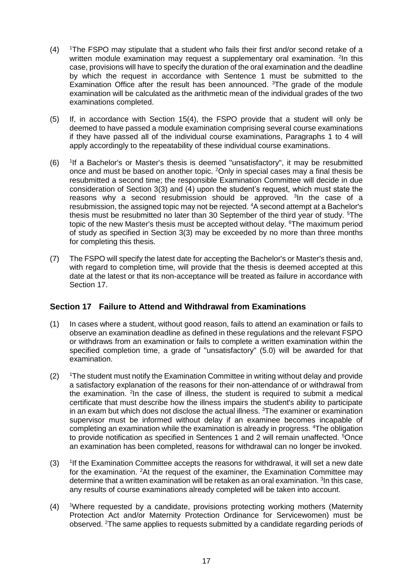- (4) <sup>1</sup>The FSPO may stipulate that a student who fails their first and/or second retake of a written module examination may request a supplementary oral examination. <sup>2</sup>In this case, provisions will have to specify the duration of the oral examination and the deadline by which the request in accordance with Sentence 1 must be submitted to the Examination Office after the result has been announced.  ${}^{3}$ The grade of the module examination will be calculated as the arithmetic mean of the individual grades of the two examinations completed.
- (5) If, in accordance with Section 15(4), the FSPO provide that a student will only be deemed to have passed a module examination comprising several course examinations if they have passed all of the individual course examinations, Paragraphs 1 to 4 will apply accordingly to the repeatability of these individual course examinations.
- $(6)$ <sup>1</sup>If a Bachelor's or Master's thesis is deemed "unsatisfactory", it may be resubmitted once and must be based on another topic. <sup>2</sup>Only in special cases may a final thesis be resubmitted a second time; the responsible Examination Committee will decide in due consideration of Section 3(3) and (4) upon the student's request, which must state the reasons why a second resubmission should be approved. <sup>3</sup>In the case of a resubmission, the assigned topic may not be rejected. <sup>4</sup>A second attempt at a Bachelor's thesis must be resubmitted no later than 30 September of the third year of study.  $5$ The topic of the new Master's thesis must be accepted without delay. <sup>6</sup>The maximum period of study as specified in Section 3(3) may be exceeded by no more than three months for completing this thesis.
- (7) The FSPO will specify the latest date for accepting the Bachelor's or Master's thesis and, with regard to completion time, will provide that the thesis is deemed accepted at this date at the latest or that its non-acceptance will be treated as failure in accordance with Section 17.

## <span id="page-16-0"></span>**Section 17 Failure to Attend and Withdrawal from Examinations**

- (1) In cases where a student, without good reason, fails to attend an examination or fails to observe an examination deadline as defined in these regulations and the relevant FSPO or withdraws from an examination or fails to complete a written examination within the specified completion time, a grade of "unsatisfactory" (5.0) will be awarded for that examination.
- $(2)$  <sup>1</sup>The student must notify the Examination Committee in writing without delay and provide a satisfactory explanation of the reasons for their non-attendance of or withdrawal from the examination. <sup>2</sup>In the case of illness, the student is required to submit a medical certificate that must describe how the illness impairs the student's ability to participate in an exam but which does not disclose the actual illness. <sup>3</sup>The examiner or examination supervisor must be informed without delay if an examinee becomes incapable of completing an examination while the examination is already in progress. <sup>4</sup>The obligation to provide notification as specified in Sentences 1 and 2 will remain unaffected. <sup>5</sup>Once an examination has been completed, reasons for withdrawal can no longer be invoked.
- $(3)$ <sup>1</sup>If the Examination Committee accepts the reasons for withdrawal, it will set a new date for the examination. <sup>2</sup>At the request of the examiner, the Examination Committee may determine that a written examination will be retaken as an oral examination. <sup>3</sup>In this case, any results of course examinations already completed will be taken into account.
- (4) <sup>1</sup>Where requested by a candidate, provisions protecting working mothers (Maternity Protection Act and/or Maternity Protection Ordinance for Servicewomen) must be observed. 2The same applies to requests submitted by a candidate regarding periods of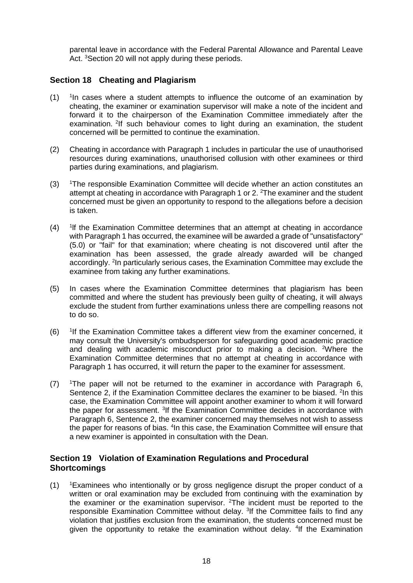parental leave in accordance with the Federal Parental Allowance and Parental Leave Act. <sup>3</sup>Section 20 will not apply during these periods.

#### <span id="page-17-0"></span>**Section 18 Cheating and Plagiarism**

- $(1)$  $1$ In cases where a student attempts to influence the outcome of an examination by cheating, the examiner or examination supervisor will make a note of the incident and forward it to the chairperson of the Examination Committee immediately after the examination. <sup>2</sup>If such behaviour comes to light during an examination, the student concerned will be permitted to continue the examination.
- (2) Cheating in accordance with Paragraph 1 includes in particular the use of unauthorised resources during examinations, unauthorised collusion with other examinees or third parties during examinations, and plagiarism.
- (3) <sup>1</sup>The responsible Examination Committee will decide whether an action constitutes an attempt at cheating in accordance with Paragraph 1 or 2.<sup>2</sup>The examiner and the student concerned must be given an opportunity to respond to the allegations before a decision is taken.
- $(4)$ lf the Examination Committee determines that an attempt at cheating in accordance with Paragraph 1 has occurred, the examinee will be awarded a grade of "unsatisfactory" (5.0) or "fail" for that examination; where cheating is not discovered until after the examination has been assessed, the grade already awarded will be changed accordingly. <sup>2</sup>In particularly serious cases, the Examination Committee may exclude the examinee from taking any further examinations.
- (5) In cases where the Examination Committee determines that plagiarism has been committed and where the student has previously been guilty of cheating, it will always exclude the student from further examinations unless there are compelling reasons not to do so.
- $(6)$ <sup>1</sup>If the Examination Committee takes a different view from the examiner concerned, it may consult the University's ombudsperson for safeguarding good academic practice and dealing with academic misconduct prior to making a decision. <sup>2</sup>Where the Examination Committee determines that no attempt at cheating in accordance with Paragraph 1 has occurred, it will return the paper to the examiner for assessment.
- $(7)$  <sup>1</sup>The paper will not be returned to the examiner in accordance with Paragraph 6, Sentence 2, if the Examination Committee declares the examiner to be biased. <sup>2</sup>In this case, the Examination Committee will appoint another examiner to whom it will forward the paper for assessment. <sup>3</sup>If the Examination Committee decides in accordance with Paragraph 6, Sentence 2, the examiner concerned may themselves not wish to assess the paper for reasons of bias. <sup>4</sup>In this case, the Examination Committee will ensure that a new examiner is appointed in consultation with the Dean.

#### <span id="page-17-1"></span>**Section 19 Violation of Examination Regulations and Procedural Shortcomings**

 $(1)$  <sup>1</sup>Examinees who intentionally or by gross negligence disrupt the proper conduct of a written or oral examination may be excluded from continuing with the examination by the examiner or the examination supervisor. <sup>2</sup>The incident must be reported to the responsible Examination Committee without delay. <sup>3</sup>If the Committee fails to find any violation that justifies exclusion from the examination, the students concerned must be given the opportunity to retake the examination without delay. <sup>4</sup>If the Examination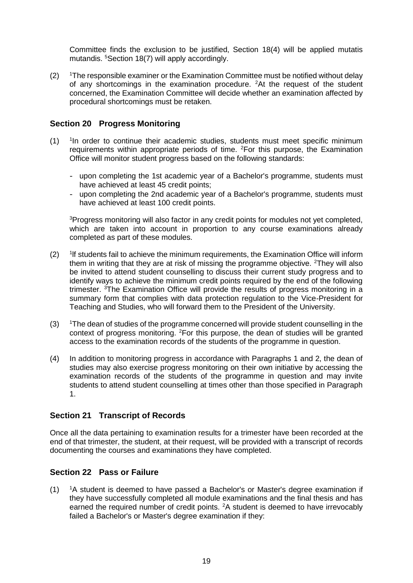Committee finds the exclusion to be justified, Section 18(4) will be applied mutatis mutandis. <sup>5</sup>Section 18(7) will apply accordingly.

 $(2)$  <sup>1</sup>The responsible examiner or the Examination Committee must be notified without delay of any shortcomings in the examination procedure. <sup>2</sup>At the request of the student concerned, the Examination Committee will decide whether an examination affected by procedural shortcomings must be retaken.

#### <span id="page-18-0"></span>**Section 20 Progress Monitoring**

- $(1)$ <sup>1</sup>In order to continue their academic studies, students must meet specific minimum requirements within appropriate periods of time. <sup>2</sup>For this purpose, the Examination Office will monitor student progress based on the following standards:
	- upon completing the 1st academic year of a Bachelor's programme, students must have achieved at least 45 credit points;
	- upon completing the 2nd academic year of a Bachelor's programme, students must have achieved at least 100 credit points.

<sup>3</sup>Progress monitoring will also factor in any credit points for modules not yet completed, which are taken into account in proportion to any course examinations already completed as part of these modules.

- $(2)$ lf students fail to achieve the minimum requirements, the Examination Office will inform them in writing that they are at risk of missing the programme objective.  ${}^{2}$ They will also be invited to attend student counselling to discuss their current study progress and to identify ways to achieve the minimum credit points required by the end of the following trimester. <sup>3</sup>The Examination Office will provide the results of progress monitoring in a summary form that complies with data protection regulation to the Vice-President for Teaching and Studies, who will forward them to the President of the University.
- (3) <sup>1</sup>The dean of studies of the programme concerned will provide student counselling in the context of progress monitoring. <sup>2</sup>For this purpose, the dean of studies will be granted access to the examination records of the students of the programme in question.
- (4) In addition to monitoring progress in accordance with Paragraphs 1 and 2, the dean of studies may also exercise progress monitoring on their own initiative by accessing the examination records of the students of the programme in question and may invite students to attend student counselling at times other than those specified in Paragraph 1.

## <span id="page-18-1"></span>**Section 21 Transcript of Records**

Once all the data pertaining to examination results for a trimester have been recorded at the end of that trimester, the student, at their request, will be provided with a transcript of records documenting the courses and examinations they have completed.

# <span id="page-18-2"></span>**Section 22 Pass or Failure**

(1) <sup>1</sup>A student is deemed to have passed a Bachelor's or Master's degree examination if they have successfully completed all module examinations and the final thesis and has earned the required number of credit points. <sup>2</sup>A student is deemed to have irrevocably failed a Bachelor's or Master's degree examination if they: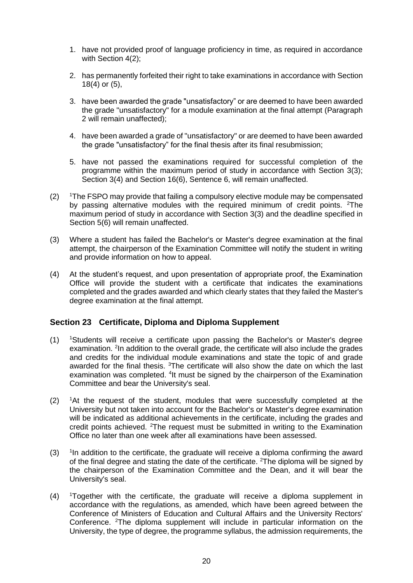- 1. have not provided proof of language proficiency in time, as required in accordance with Section 4(2);
- 2. has permanently forfeited their right to take examinations in accordance with Section 18(4) or (5),
- 3. have been awarded the grade "unsatisfactory" or are deemed to have been awarded the grade "unsatisfactory" for a module examination at the final attempt (Paragraph 2 will remain unaffected);
- 4. have been awarded a grade of "unsatisfactory" or are deemed to have been awarded the grade "unsatisfactory" for the final thesis after its final resubmission;
- 5. have not passed the examinations required for successful completion of the programme within the maximum period of study in accordance with Section 3(3); Section 3(4) and Section 16(6), Sentence 6, will remain unaffected.
- $(2)$  1The FSPO may provide that failing a compulsory elective module may be compensated by passing alternative modules with the required minimum of credit points. <sup>2</sup>The maximum period of study in accordance with Section 3(3) and the deadline specified in Section 5(6) will remain unaffected.
- (3) Where a student has failed the Bachelor's or Master's degree examination at the final attempt, the chairperson of the Examination Committee will notify the student in writing and provide information on how to appeal.
- (4) At the student's request, and upon presentation of appropriate proof, the Examination Office will provide the student with a certificate that indicates the examinations completed and the grades awarded and which clearly states that they failed the Master's degree examination at the final attempt.

#### <span id="page-19-0"></span>**Section 23 Certificate, Diploma and Diploma Supplement**

- $(1)$  <sup>1</sup>Students will receive a certificate upon passing the Bachelor's or Master's degree examination. <sup>2</sup>In addition to the overall grade, the certificate will also include the grades and credits for the individual module examinations and state the topic of and grade awarded for the final thesis. <sup>3</sup>The certificate will also show the date on which the last examination was completed. <sup>4</sup>It must be signed by the chairperson of the Examination Committee and bear the University's seal.
- $(2)$  <sup>1</sup>At the request of the student, modules that were successfully completed at the University but not taken into account for the Bachelor's or Master's degree examination will be indicated as additional achievements in the certificate, including the grades and credit points achieved. <sup>2</sup>The request must be submitted in writing to the Examination Office no later than one week after all examinations have been assessed.
- $(3)$ <sup>1</sup>In addition to the certificate, the graduate will receive a diploma confirming the award of the final degree and stating the date of the certificate. <sup>2</sup>The diploma will be signed by the chairperson of the Examination Committee and the Dean, and it will bear the University's seal.
- (4) <sup>1</sup>Together with the certificate, the graduate will receive a diploma supplement in accordance with the regulations, as amended, which have been agreed between the Conference of Ministers of Education and Cultural Affairs and the University Rectors' Conference. <sup>2</sup>The diploma supplement will include in particular information on the University, the type of degree, the programme syllabus, the admission requirements, the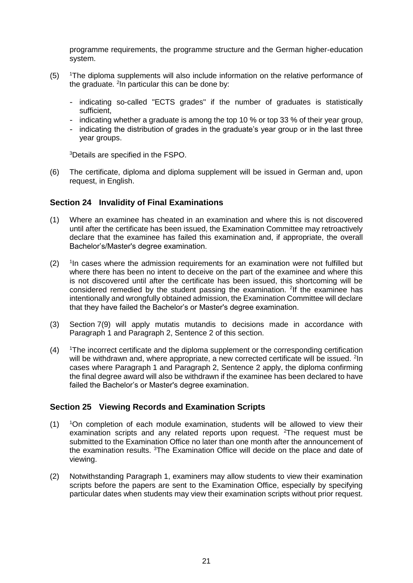programme requirements, the programme structure and the German higher-education system.

- $(5)$  <sup>1</sup>The diploma supplements will also include information on the relative performance of the graduate. <sup>2</sup>In particular this can be done by:
	- indicating so-called "ECTS grades" if the number of graduates is statistically sufficient,
	- indicating whether a graduate is among the top 10 % or top 33 % of their year group,
	- indicating the distribution of grades in the graduate's year group or in the last three year groups.

<sup>3</sup>Details are specified in the FSPO.

(6) The certificate, diploma and diploma supplement will be issued in German and, upon request, in English.

#### <span id="page-20-0"></span>**Section 24 Invalidity of Final Examinations**

- (1) Where an examinee has cheated in an examination and where this is not discovered until after the certificate has been issued, the Examination Committee may retroactively declare that the examinee has failed this examination and, if appropriate, the overall Bachelor's/Master's degree examination.
- $(2)$ <sup>1</sup>In cases where the admission requirements for an examination were not fulfilled but where there has been no intent to deceive on the part of the examinee and where this is not discovered until after the certificate has been issued, this shortcoming will be considered remedied by the student passing the examination.  $2$ If the examinee has intentionally and wrongfully obtained admission, the Examination Committee will declare that they have failed the Bachelor's or Master's degree examination.
- (3) Section 7(9) will apply mutatis mutandis to decisions made in accordance with Paragraph 1 and Paragraph 2, Sentence 2 of this section.
- $(4)$  <sup>1</sup>The incorrect certificate and the diploma supplement or the corresponding certification will be withdrawn and, where appropriate, a new corrected certificate will be issued. <sup>2</sup>In cases where Paragraph 1 and Paragraph 2, Sentence 2 apply, the diploma confirming the final degree award will also be withdrawn if the examinee has been declared to have failed the Bachelor's or Master's degree examination.

#### <span id="page-20-1"></span>**Section 25 Viewing Records and Examination Scripts**

- $(1)$  <sup>1</sup>On completion of each module examination, students will be allowed to view their examination scripts and any related reports upon request. <sup>2</sup>The request must be submitted to the Examination Office no later than one month after the announcement of the examination results. <sup>3</sup>The Examination Office will decide on the place and date of viewing.
- (2) Notwithstanding Paragraph 1, examiners may allow students to view their examination scripts before the papers are sent to the Examination Office, especially by specifying particular dates when students may view their examination scripts without prior request.